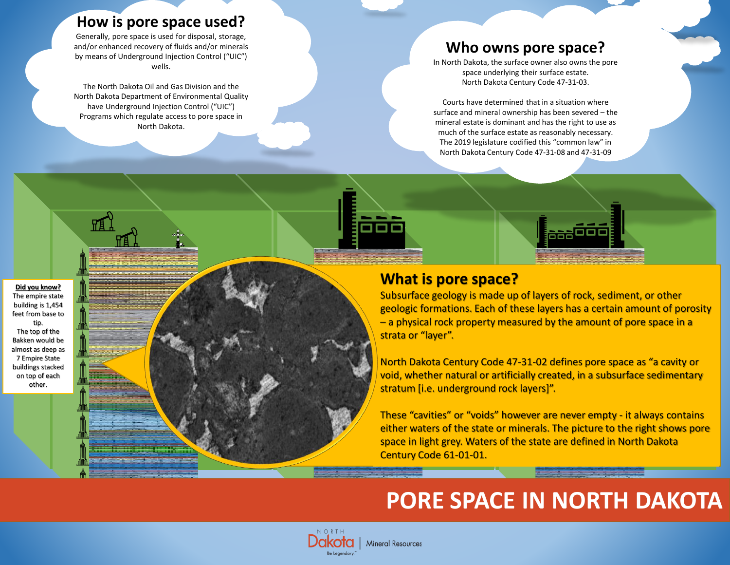### **How is pore space used?**

Generally, pore space is used for disposal, storage, and/or enhanced recovery of fluids and/or minerals by means of Underground Injection Control ("UIC") wells.

The North Dakota Oil and Gas Division and the North Dakota Department of Environmental Quality have Underground Injection Control ("UIC") Programs which regulate access to pore space in North Dakota.

## **Who owns pore space?**

In North Dakota, the surface owner also owns the pore space underlying their surface estate. North Dakota Century Code 47-31-03.

Courts have determined that in a situation where surface and mineral ownership has been severed – the mineral estate is dominant and has the right to use as much of the surface estate as reasonably necessary. The 2019 legislature codified this "common law" in North Dakota Century Code 47-31-08 and 47-31-09

#### **Did you know?** The empire state building is 1,454 feet from base to tip. The top of the Bakken would be almost as deep as 7 Empire State buildings stacked on top of each other.

### **What is pore space?**

Subsurface geology is made up of layers of rock, sediment, or other geologic formations. Each of these layers has a certain amount of porosity – a physical rock property measured by the amount of pore space in a strata or "layer".

n de

North Dakota Century Code 47-31-02 defines pore space as "a cavity or void, whether natural or artificially created, in a subsurface sedimentary stratum [i.e. underground rock layers]".

These "cavities" or "voids" however are never empty - it always contains either waters of the state or minerals. The picture to the right shows pore space in light grey. Waters of the state are defined in North Dakota Century Code 61-01-01.

# **PORE SPACE IN NORTH DAKOTA**

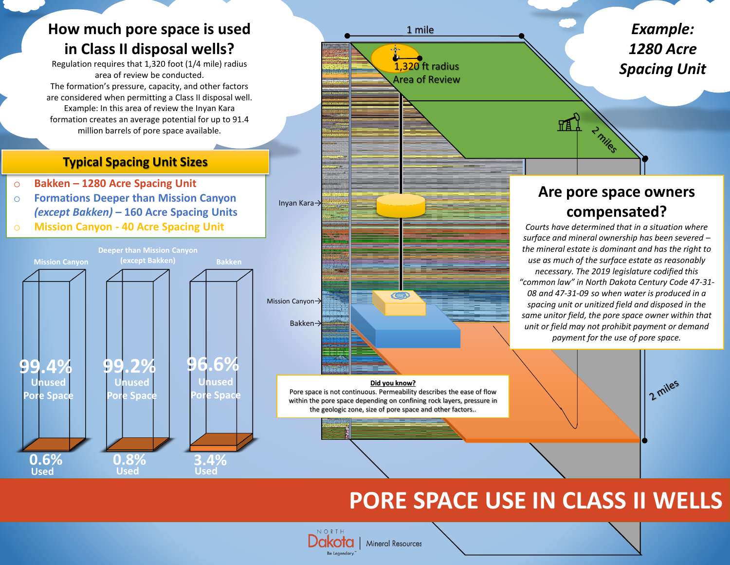# **How much pore space is used in Class II disposal wells?**

Regulation requires that 1,320 foot (1/4 mile) radius area of review be conducted. The formation's pressure, capacity, and other factors are considered when permitting a Class II disposal well. Example: In this area of review the Inyan Kara formation creates an average potential for up to 91.4 million barrels of pore space available.

### **Typical Spacing Unit Sizes**

- o **Bakken – 1280 Acre Spacing Unit**
- o **Formations Deeper than Mission Canyon**  *(except Bakken) –* **160 Acre Spacing Units**
- o **Mission Canyon - 40 Acre Spacing Unit**



*Example:* 1 mile *1280 Acre*  1,320 ft radius *Spacing Unit*  Area of Review **TA** 2 miles Inyan Kara→ **COLLA** Mission Canyon→ Bakken→

#### **Did you know?**

Pore space is not continuous. Permeability describes the ease of flow within the pore space depending on confining rock layers, pressure in the geologic zone, size of pore space and other factors..

**Mineral Resources** 

NORTH

Be Legendary

### **Are pore space owners compensated?**

*Courts have determined that in a situation where surface and mineral ownership has been severed – the mineral estate is dominant and has the right to use as much of the surface estate as reasonably necessary. The 2019 legislature codified this "common law" in North Dakota Century Code 47-31- 08 and 47-31-09 so when water is produced in a spacing unit or unitized field and disposed in the same unitor field, the pore space owner within that unit or field may not prohibit payment or demand payment for the use of pore space.*

2 miles

# **PORE SPACE USE IN CLASS II WELLS**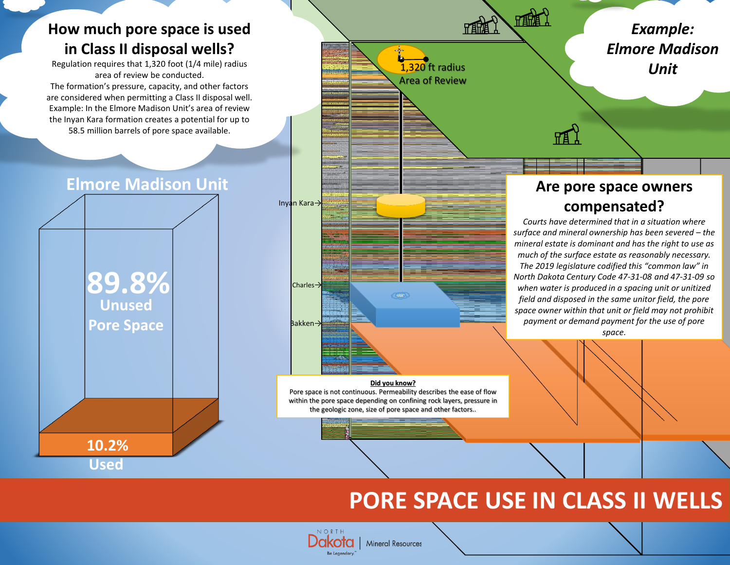## **How much pore space is used in Class II disposal wells?**

Regulation requires that 1,320 foot (1/4 mile) radius area of review be conducted. The formation's pressure, capacity, and other factors are considered when permitting a Class II disposal well. Example: In the Elmore Madison Unit's area of review the Inyan Kara formation creates a potential for up to

58.5 million barrels of pore space available.





# **PORE SPACE USE IN CLASS II WELLS**

NORTH **Mineral Resources** Be Legendary

the geologic zone, size of pore space and other factors..